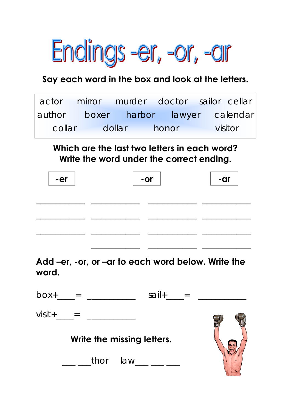

#### **Say each word in the box and look at the letters.**

|  | actor mirror murder doctor sailor cellar |         |
|--|------------------------------------------|---------|
|  | author boxer harbor lawyer calendar      |         |
|  | collar dollar honor                      | visitor |

**Which are the last two letters in each word? Write the word under the correct ending.** 

| -er | $-$ or | -ar |
|-----|--------|-----|
|     |        |     |
|     |        |     |
|     |        |     |

**Add –er, -or, or –ar to each word below. Write the word.** 

| $box+$      | and the state of the state of the | sail+                               |  |
|-------------|-----------------------------------|-------------------------------------|--|
| $visit +$ = |                                   |                                     |  |
|             | Write the missing letters.        |                                     |  |
|             |                                   | thor $law_{\_\_\_\_\_\_\_\_\_\_\_}$ |  |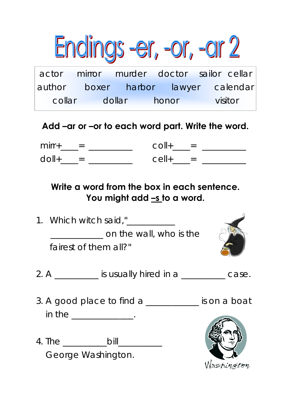

## **Add –ar or –or to each word part. Write the word.**

| $mirror+$<br>$\equiv$ | $\equiv$                 |
|-----------------------|--------------------------|
| $\bigcap$<br>$=$      | $\overline{\phantom{0}}$ |

### **Write a word from the box in each sentence.**  You might add <u>-s to a word.</u>

- 1. Which witch said,"\_\_\_\_\_\_\_\_\_\_\_ **Example 20 on the wall, who is the**  fairest of them all?"
	-
- 2. A \_\_\_\_\_\_\_\_\_\_ is usually hired in a \_\_\_\_\_\_\_\_\_\_ case.
- 3. A good place to find a \_\_\_\_\_\_\_\_\_\_\_\_ is on a boat in the \_\_\_\_\_\_\_\_\_\_\_\_\_\_.
- 4. The \_\_\_\_\_\_\_\_\_\_bill\_\_\_\_\_\_\_\_\_\_ George Washington.

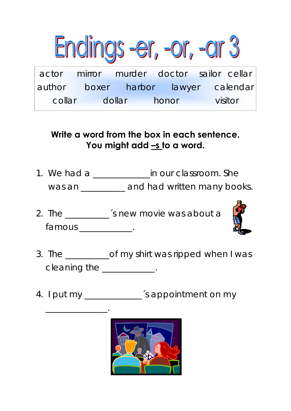

### **Write a word from the box in each sentence. You might add –s to a word.**

- 1. We had a \_\_\_\_\_\_\_\_\_\_\_\_\_\_\_in our classroom. She was an \_\_\_\_\_\_\_\_\_ and had written many books.
- 2. The \_\_\_\_\_\_\_\_\_\_\_\_ 's new movie was about a famous the control of the control of the control of the control of the control of the control of the control o



- 3. The \_\_\_\_\_\_\_\_\_\_of my shirt was ripped when I was cleaning the \_\_\_\_\_\_\_\_\_\_\_.
- 4. I put my \_\_\_\_\_\_\_\_\_\_\_\_\_\_\_ 's appointment on my

 $\overline{\phantom{a}}$  ,  $\overline{\phantom{a}}$  ,  $\overline{\phantom{a}}$  ,  $\overline{\phantom{a}}$  ,  $\overline{\phantom{a}}$  ,  $\overline{\phantom{a}}$  ,  $\overline{\phantom{a}}$  ,  $\overline{\phantom{a}}$  ,  $\overline{\phantom{a}}$  ,  $\overline{\phantom{a}}$  ,  $\overline{\phantom{a}}$  ,  $\overline{\phantom{a}}$  ,  $\overline{\phantom{a}}$  ,  $\overline{\phantom{a}}$  ,  $\overline{\phantom{a}}$  ,  $\overline{\phantom{a}}$